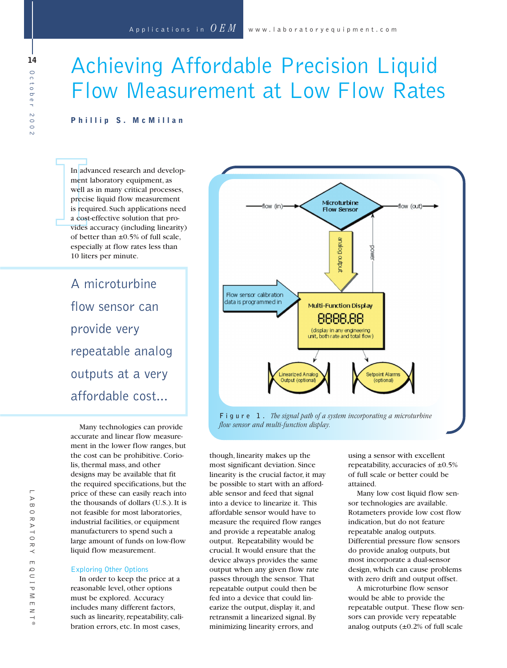# Achieving Affordable Precision Liquid Flow Measurement at Low Flow Rates

### **Phillip S. McMillan**

In adv<br>
ment<br>
well a<br>
precis<br>
is req<br>
a cost<br>
vides<br>
of bet In advanced research and development laboratory equipment, as well as in many critical processes, precise liquid flow measurement is required. Such applications need a cost-effective solution that provides accuracy (including linearity) of better than  $\pm 0.5\%$  of full scale, especially at flow rates less than 10 liters per minute.

> A microturbine flow sensor can provide very repeatable analog outputs at a very affordable cost...

Many technologies can provide accurate and linear flow measurement in the lower flow ranges, but the cost can be prohibitive. Coriolis, thermal mass, and other designs may be available that fit the required specifications, but the price of these can easily reach into the thousands of dollars (U.S.). It is not feasible for most laboratories, industrial facilities, or equipment manufacturers to spend such a large amount of funds on low-flow liquid flow measurement.

#### Exploring Other Options

In order to keep the price at a reasonable level, other options must be explored. Accuracy includes many different factors, such as linearity, repeatability, calibration errors, etc. In most cases,



though, linearity makes up the most significant deviation. Since linearity is the crucial factor, it may be possible to start with an affordable sensor and feed that signal into a device to linearize it. This affordable sensor would have to measure the required flow ranges and provide a repeatable analog output. Repeatability would be crucial. It would ensure that the device always provides the same output when any given flow rate passes through the sensor. That repeatable output could then be fed into a device that could linearize the output, display it, and retransmit a linearized signal. By minimizing linearity errors, and

using a sensor with excellent repeatability, accuracies of  $\pm 0.5\%$ of full scale or better could be attained.

Many low cost liquid flow sensor technologies are available. Rotameters provide low cost flow indication, but do not feature repeatable analog outputs. Differential pressure flow sensors do provide analog outputs, but most incorporate a dual-sensor design, which can cause problems with zero drift and output offset.

A microturbine flow sensor would be able to provide the repeatable output. These flow sensors can provide very repeatable analog outputs (±0.2% of full scale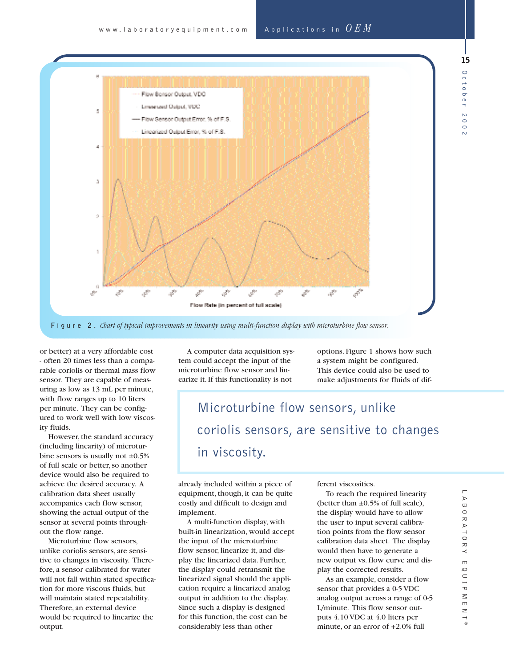

**Figure 2.** *Chart of typical improvements in linearity using multi-function display with microturbine flow sensor.*

or better) at a very affordable cost - often 20 times less than a comparable coriolis or thermal mass flow sensor. They are capable of measuring as low as 13 mL per minute, with flow ranges up to 10 liters per minute. They can be configured to work well with low viscosity fluids.

However, the standard accuracy (including linearity) of microturbine sensors is usually not  $\pm 0.5\%$ of full scale or better, so another device would also be required to achieve the desired accuracy. A calibration data sheet usually accompanies each flow sensor, showing the actual output of the sensor at several points throughout the flow range.

Microturbine flow sensors, unlike coriolis sensors, are sensitive to changes in viscosity. Therefore, a sensor calibrated for water will not fall within stated specification for more viscous fluids, but will maintain stated repeatability. Therefore, an external device would be required to linearize the output.

A computer data acquisition system could accept the input of the microturbine flow sensor and linearize it. If this functionality is not

options. Figure 1 shows how such a system might be configured. This device could also be used to make adjustments for fluids of dif-

## Microturbine flow sensors, unlike coriolis sensors, are sensitive to changes in viscosity.

already included within a piece of equipment, though, it can be quite costly and difficult to design and implement.

A multi-function display, with built-in linearization, would accept the input of the microturbine flow sensor, linearize it, and display the linearized data. Further, the display could retransmit the linearized signal should the application require a linearized analog output in addition to the display. Since such a display is designed for this function, the cost can be considerably less than other

ferent viscosities.

To reach the required linearity (better than  $\pm 0.5\%$  of full scale), the display would have to allow the user to input several calibration points from the flow sensor calibration data sheet. The display would then have to generate a new output vs. flow curve and display the corrected results.

As an example, consider a flow sensor that provides a 0-5 VDC analog output across a range of 0-5 L/minute. This flow sensor outputs 4.10 VDC at 4.0 liters per minute, or an error of +2.0% full